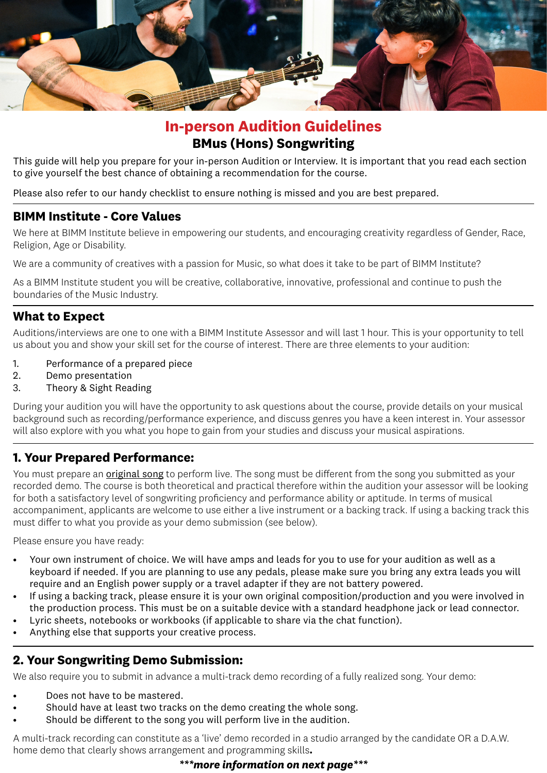

# **In-person Audition Guidelines BMus (Hons) Songwriting**

This guide will help you prepare for your in-person Audition or Interview. It is important that you read each section to give yourself the best chance of obtaining a recommendation for the course.

Please also refer to our handy checklist to ensure nothing is missed and you are best prepared.

### **BIMM Institute - Core Values**

We here at BIMM Institute believe in empowering our students, and encouraging creativity regardless of Gender, Race, Religion, Age or Disability.

We are a community of creatives with a passion for Music, so what does it take to be part of BIMM Institute?

As a BIMM Institute student you will be creative, collaborative, innovative, professional and continue to push the boundaries of the Music Industry.

# **What to Expect**

Auditions/interviews are one to one with a BIMM Institute Assessor and will last 1 hour. This is your opportunity to tell us about you and show your skill set for the course of interest. There are three elements to your audition:

- 1. Performance of a prepared piece
- 2. Demo presentation
- 3. Theory & Sight Reading

During your audition you will have the opportunity to ask questions about the course, provide details on your musical background such as recording/performance experience, and discuss genres you have a keen interest in. Your assessor will also explore with you what you hope to gain from your studies and discuss your musical aspirations.

# **1. Your Prepared Performance:**

You must prepare an original song to perform live. The song must be different from the song you submitted as your recorded demo. The course is both theoretical and practical therefore within the audition your assessor will be looking for both a satisfactory level of songwriting proficiency and performance ability or aptitude. In terms of musical accompaniment, applicants are welcome to use either a live instrument or a backing track. If using a backing track this must differ to what you provide as your demo submission (see below).

Please ensure you have ready:

- Your own instrument of choice. We will have amps and leads for you to use for your audition as well as a keyboard if needed. If you are planning to use any pedals, please make sure you bring any extra leads you will require and an English power supply or a travel adapter if they are not battery powered.
- If using a backing track, please ensure it is your own original composition/production and you were involved in the production process. This must be on a suitable device with a standard headphone jack or lead connector.
- Lyric sheets, notebooks or workbooks (if applicable to share via the chat function).
- Anything else that supports your creative process.

# **2. Your Songwriting Demo Submission:**

We also require you to submit in advance a multi-track demo recording of a fully realized song. Your demo:

- Does not have to be mastered.
- Should have at least two tracks on the demo creating the whole song.
- Should be different to the song you will perform live in the audition.

A multi-track recording can constitute as a 'live' demo recorded in a studio arranged by the candidate OR a D.A.W. home demo that clearly shows arrangement and programming skills**.**

### *\*\*\*more information on next page\*\*\**